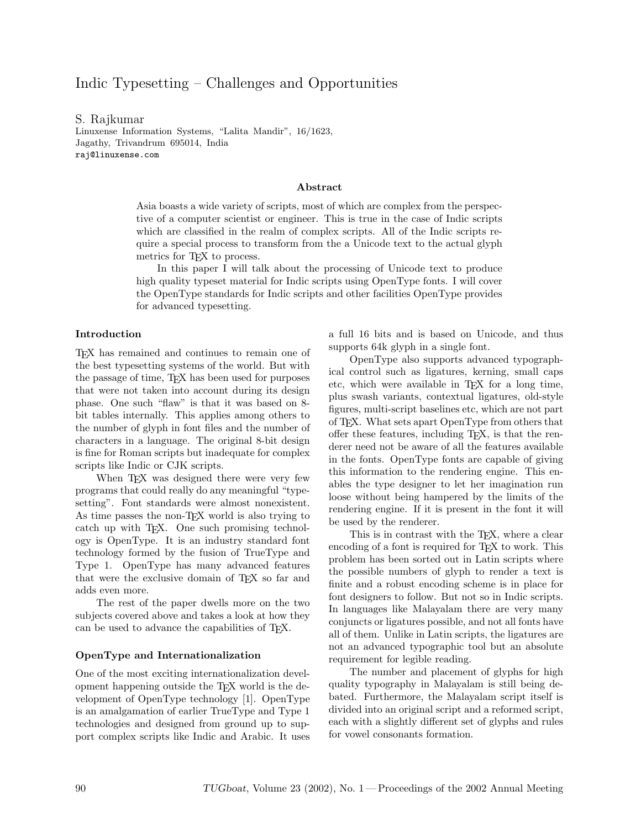# Indic Typesetting – Challenges and Opportunities

# S. Rajkumar

Linuxense Information Systems, "Lalita Mandir", 16/1623, Jagathy, Trivandrum 695014, India raj@linuxense.com

#### Abstract

Asia boasts a wide variety of scripts, most of which are complex from the perspective of a computer scientist or engineer. This is true in the case of Indic scripts which are classified in the realm of complex scripts. All of the Indic scripts require a special process to transform from the a Unicode text to the actual glyph metrics for T<sub>FX</sub> to process.

In this paper I will talk about the processing of Unicode text to produce high quality typeset material for Indic scripts using OpenType fonts. I will cover the OpenType standards for Indic scripts and other facilities OpenType provides for advanced typesetting.

#### Introduction

TEX has remained and continues to remain one of the best typesetting systems of the world. But with the passage of time, TEX has been used for purposes that were not taken into account during its design phase. One such "flaw" is that it was based on 8 bit tables internally. This applies among others to the number of glyph in font files and the number of characters in a language. The original 8-bit design is fine for Roman scripts but inadequate for complex scripts like Indic or CJK scripts.

When T<sub>F</sub>X was designed there were very few programs that could really do any meaningful "typesetting". Font standards were almost nonexistent. As time passes the non-TEX world is also trying to catch up with TEX. One such promising technology is OpenType. It is an industry standard font technology formed by the fusion of TrueType and Type 1. OpenType has many advanced features that were the exclusive domain of TEX so far and adds even more.

The rest of the paper dwells more on the two subjects covered above and takes a look at how they can be used to advance the capabilities of TEX.

#### OpenType and Internationalization

One of the most exciting internationalization development happening outside the TEX world is the development of OpenType technology [1]. OpenType is an amalgamation of earlier TrueType and Type 1 technologies and designed from ground up to support complex scripts like Indic and Arabic. It uses a full 16 bits and is based on Unicode, and thus supports 64k glyph in a single font.

OpenType also supports advanced typographical control such as ligatures, kerning, small caps etc, which were available in TEX for a long time, plus swash variants, contextual ligatures, old-style figures, multi-script baselines etc, which are not part of TEX. What sets apart OpenType from others that offer these features, including TEX, is that the renderer need not be aware of all the features available in the fonts. OpenType fonts are capable of giving this information to the rendering engine. This enables the type designer to let her imagination run loose without being hampered by the limits of the rendering engine. If it is present in the font it will be used by the renderer.

This is in contrast with the TEX, where a clear encoding of a font is required for T<sub>E</sub>X to work. This problem has been sorted out in Latin scripts where the possible numbers of glyph to render a text is finite and a robust encoding scheme is in place for font designers to follow. But not so in Indic scripts. In languages like Malayalam there are very many conjuncts or ligatures possible, and not all fonts have all of them. Unlike in Latin scripts, the ligatures are not an advanced typographic tool but an absolute requirement for legible reading.

The number and placement of glyphs for high quality typography in Malayalam is still being debated. Furthermore, the Malayalam script itself is divided into an original script and a reformed script, each with a slightly different set of glyphs and rules for vowel consonants formation.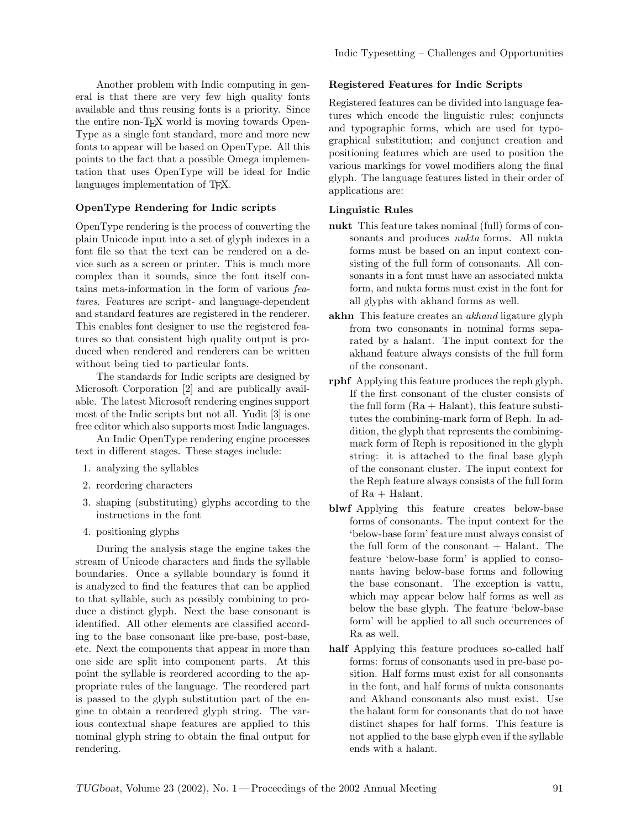Another problem with Indic computing in general is that there are very few high quality fonts available and thus reusing fonts is a priority. Since the entire non-TEX world is moving towards Open-Type as a single font standard, more and more new fonts to appear will be based on OpenType. All this points to the fact that a possible Omega implementation that uses OpenType will be ideal for Indic languages implementation of TEX.

## OpenType Rendering for Indic scripts

OpenType rendering is the process of converting the plain Unicode input into a set of glyph indexes in a font file so that the text can be rendered on a device such as a screen or printer. This is much more complex than it sounds, since the font itself contains meta-information in the form of various features. Features are script- and language-dependent and standard features are registered in the renderer. This enables font designer to use the registered features so that consistent high quality output is produced when rendered and renderers can be written without being tied to particular fonts.

The standards for Indic scripts are designed by Microsoft Corporation [2] and are publically available. The latest Microsoft rendering engines support most of the Indic scripts but not all. Yudit [3] is one free editor which also supports most Indic languages.

An Indic OpenType rendering engine processes text in different stages. These stages include:

- 1. analyzing the syllables
- 2. reordering characters
- 3. shaping (substituting) glyphs according to the instructions in the font
- 4. positioning glyphs

During the analysis stage the engine takes the stream of Unicode characters and finds the syllable boundaries. Once a syllable boundary is found it is analyzed to find the features that can be applied to that syllable, such as possibly combining to produce a distinct glyph. Next the base consonant is identified. All other elements are classified according to the base consonant like pre-base, post-base, etc. Next the components that appear in more than one side are split into component parts. At this point the syllable is reordered according to the appropriate rules of the language. The reordered part is passed to the glyph substitution part of the engine to obtain a reordered glyph string. The various contextual shape features are applied to this nominal glyph string to obtain the final output for rendering.

## Registered Features for Indic Scripts

Registered features can be divided into language features which encode the linguistic rules; conjuncts and typographic forms, which are used for typographical substitution; and conjunct creation and positioning features which are used to position the various markings for vowel modifiers along the final glyph. The language features listed in their order of applications are:

## Linguistic Rules

- nukt This feature takes nominal (full) forms of consonants and produces *nukta* forms. All nukta forms must be based on an input context consisting of the full form of consonants. All consonants in a font must have an associated nukta form, and nukta forms must exist in the font for all glyphs with akhand forms as well.
- akhn This feature creates an *akhand* ligature glyph from two consonants in nominal forms separated by a halant. The input context for the akhand feature always consists of the full form of the consonant.
- rphf Applying this feature produces the reph glyph. If the first consonant of the cluster consists of the full form  $(Ra + Halant)$ , this feature substitutes the combining-mark form of Reph. In addition, the glyph that represents the combiningmark form of Reph is repositioned in the glyph string: it is attached to the final base glyph of the consonant cluster. The input context for the Reph feature always consists of the full form of  $Ra$  + Halant.
- blwf Applying this feature creates below-base forms of consonants. The input context for the 'below-base form' feature must always consist of the full form of the consonant  $+$  Halant. The feature 'below-base form' is applied to consonants having below-base forms and following the base consonant. The exception is vattu, which may appear below half forms as well as below the base glyph. The feature 'below-base form' will be applied to all such occurrences of Ra as well.
- half Applying this feature produces so-called half forms: forms of consonants used in pre-base position. Half forms must exist for all consonants in the font, and half forms of nukta consonants and Akhand consonants also must exist. Use the halant form for consonants that do not have distinct shapes for half forms. This feature is not applied to the base glyph even if the syllable ends with a halant.